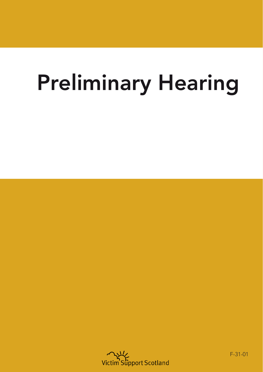## Preliminary Hearing



F-31-01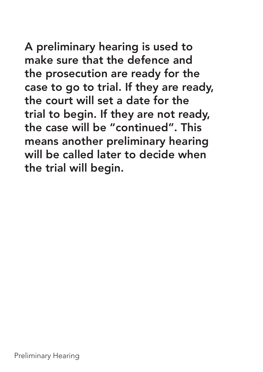A preliminary hearing is used to make sure that the defence and the prosecution are ready for the case to go to trial. If they are ready, the court will set a date for the trial to begin. If they are not ready, the case will be "continued". This means another preliminary hearing will be called later to decide when the trial will begin.